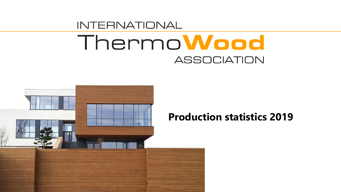

## **Production statistics 2019**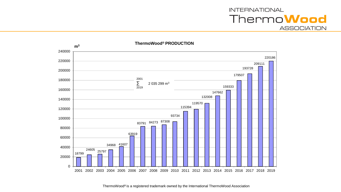

**ThermoWood® PRODUCTION**

ThermoWood® is a registered trademark owned by the International ThermoWood Association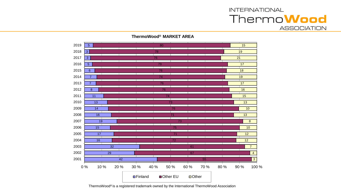**ThermoWood® MARKET AREA**



ThermoWood® is a registered trademark owned by the International ThermoWood Association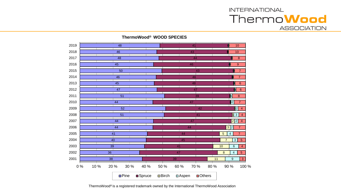**ThermoWood® WOOD SPECIES**

| 2019 |     |                 | 48                    |         |      |                         |                | 41   |                       |                |                         | 10                   |
|------|-----|-----------------|-----------------------|---------|------|-------------------------|----------------|------|-----------------------|----------------|-------------------------|----------------------|
| 2018 |     |                 | 46                    |         |      |                         |                | 43   |                       |                |                         | 10                   |
| 2017 |     |                 | 48                    |         |      |                         |                | 44   |                       |                |                         | $\overline{8}$       |
| 2016 |     |                 | 45                    |         |      |                         |                | 46   |                       |                |                         | $\boldsymbol{9}$     |
| 2015 |     |                 | $\overline{50}$       |         |      |                         |                | 43   |                       |                |                         | $\overline{7}$       |
| 2014 |     |                 | 46                    |         |      |                         |                | 46   |                       |                |                         | $\overline{7}$       |
| 2013 |     |                 | 45                    |         |      |                         |                | 48   |                       |                | ф                       | $6\phantom{1}6$      |
| 2012 |     |                 | 47                    |         |      |                         |                | 47   |                       |                | $\vert \psi \vert$      | $6\overline{6}$      |
| 2011 |     |                 | $\overline{51}$       |         |      |                         |                | 39   |                       |                | M                       | $\bf 8$              |
| 2010 |     |                 | 44                    |         |      |                         |                | 47   |                       |                | $\overline{2}$          | $\overline{7}$       |
| 2009 |     |                 | $\overline{52}$       |         |      |                         |                | 42   |                       |                |                         | 2 <br>$\overline{4}$ |
| 2008 |     |                 | $\overline{51}$       |         |      |                         |                | 41   |                       |                | $\sqrt{13}$             | $\overline{4}$       |
| 2007 |     |                 | 44                    |         |      |                         |                | 47   |                       |                | $\overline{2 2 }$       | $\overline{4}$       |
| 2006 |     |                 | 44                    |         |      |                         |                | 44   |                       |                | 3 2                     | $\overline{7}$       |
| 2005 |     | 41              |                       |         |      |                         | 44             |      |                       | $\overline{5}$ | $\overline{\mathbf{4}}$ | $\overline{7}$       |
| 2004 |     | 40              |                       |         |      |                         | 45             |      |                       | $\overline{7}$ | $\overline{3}$          | $\overline{5}$       |
| 2003 |     | $\overline{39}$ |                       |         |      |                         | 41             |      |                       | 10             | $\,6$                   | $\overline{4}$       |
| 2002 |     | $\overline{36}$ |                       |         |      |                         | 47             |      |                       | $\overline{8}$ | $\overline{4}$          | $\overline{5}$       |
| 2001 |     | 38              |                       |         |      |                         | 39             |      |                       | 11             | $\boldsymbol{9}$        | $\mathbf{3}$         |
| 0%   | 10% | 20 %            | 30 %<br><b>O</b> Pine | ■Spruce | 40 % | 50 %<br>$\square$ Birch | 60 %<br>□Aspen | 70 % | 80 %<br><b>Others</b> |                | 90 %                    | 100 %                |

ThermoWood® is a registered trademark owned by the International ThermoWood Association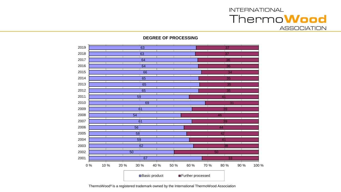#### **DEGREE OF PROCESSING**



ThermoWood® is a registered trademark owned by the International ThermoWood Association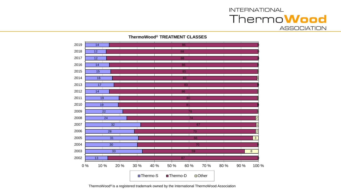**ThermoWood® TREATMENT CLASSES**



ThermoWood® is a registered trademark owned by the International ThermoWood Association